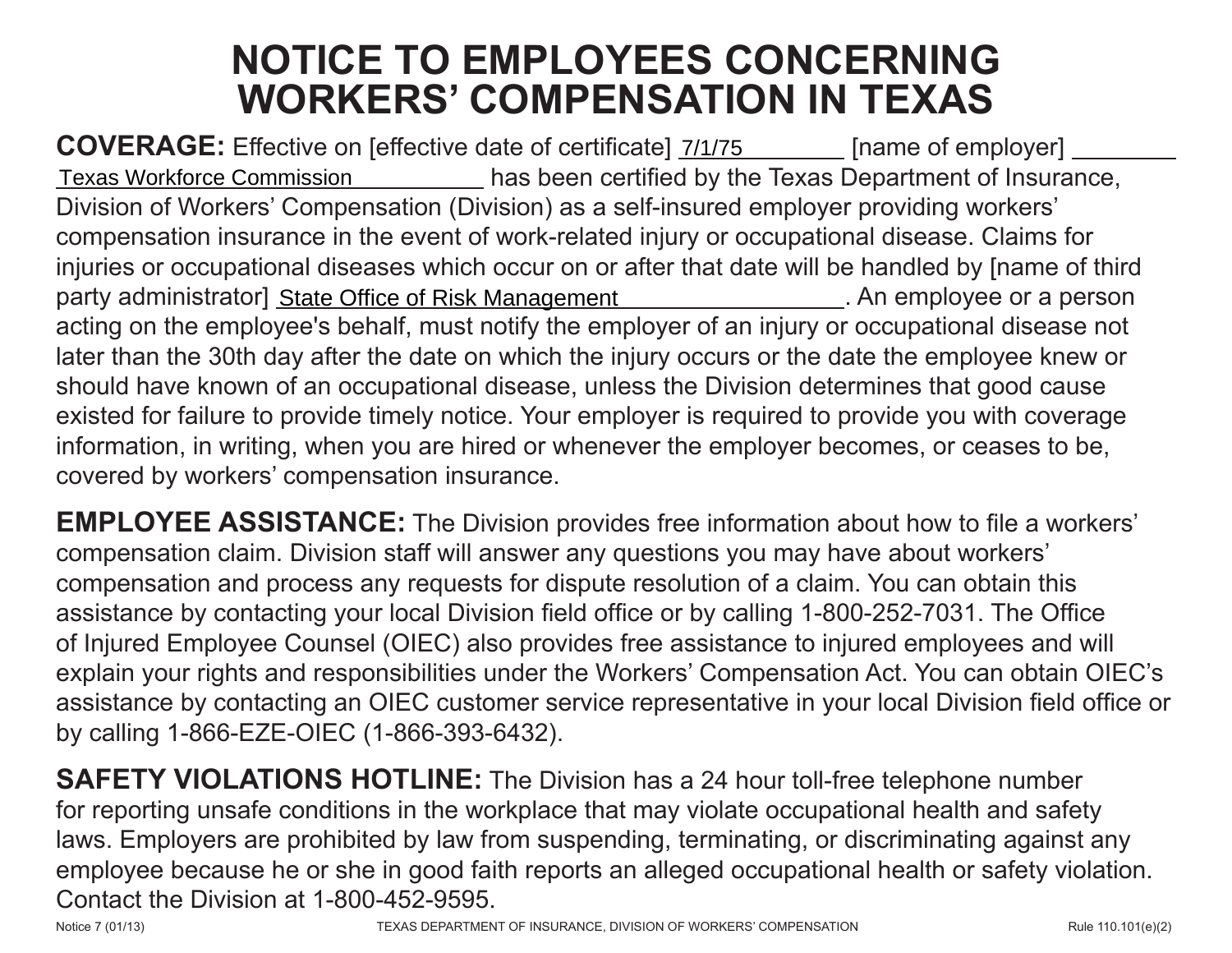## **NOTICE TO EMPLOYEES CONCERNING WORKERS' COMPENSATION IN TEXAS**

**COVERAGE:** Effective on [effective date of certificate]  $\frac{7}{12}$  [name of employer] has been certified by the Texas Department of Insurance, Division of Workers' Compensation (Division) as a self-insured employer providing workers' compensation insurance in the event of work-related injury or occupational disease. Claims for injuries or occupational diseases which occur on or after that date will be handled by [name of third party administrator] State Office of Risk Management . An employee or a person acting on the employee's behalf, must notify the employer of an injury or occupational disease not later than the 30th day after the date on which the injury occurs or the date the employee knew or should have known of an occupational disease, unless the Division determines that good cause existed for failure to provide timely notice. Your employer is required to provide you with coverage information, in writing, when you are hired or whenever the employer becomes, or ceases to be, covered by workers' compensation insurance. COVERAGE: Effective on [effective date of certificat] *ZHITS* These Department of Insurance, Division of Workers' Compensation (Division) as a self-insured employer providing workers' compensation insurance in the event of

**EMPLOYEE ASSISTANCE:** The Division provides free information about how to file a workers' compensation claim. Division staff will answer any questions you may have about workers' compensation and process any requests for dispute resolution of a claim. You can obtain this assistance by contacting your local Division field office or by calling 1-800-252-7031. The Office of Injured Employee Counsel (OIEC) also provides free assistance to injured employees and will explain your rights and responsibilities under the Workers' Compensation Act. You can obtain OIEC's assistance by contacting an OIEC customer service representative in your local Division field office or by calling 1-866-EZE-OIEC (1-866-393-6432).

**SAFETY VIOLATIONS HOTLINE:** The Division has a 24 hour toll-free telephone number for reporting unsafe conditions in the workplace that may violate occupational health and safety laws. Employers are prohibited by law from suspending, terminating, or discriminating against any employee because he or she in good faith reports an alleged occupational health or safety violation. Contact the Division at 1-800-452-9595.